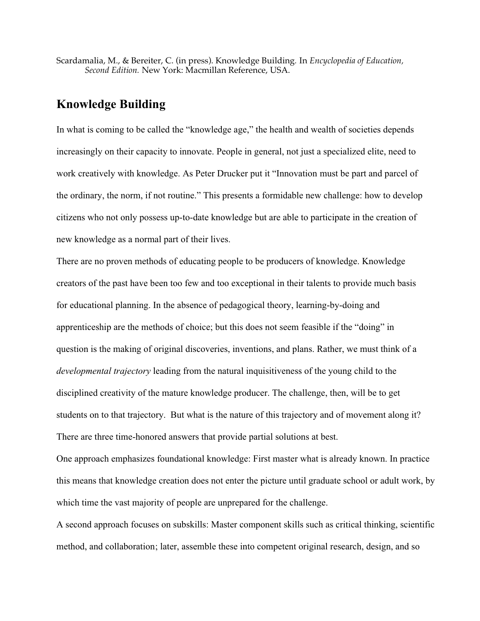Scardamalia, M., & Bereiter, C. (in press). Knowledge Building*.* In *Encyclopedia of Education, Second Edition.* New York: Macmillan Reference, USA.

# **Knowledge Building**

In what is coming to be called the "knowledge age," the health and wealth of societies depends increasingly on their capacity to innovate. People in general, not just a specialized elite, need to work creatively with knowledge. As Peter Drucker put it "Innovation must be part and parcel of the ordinary, the norm, if not routine." This presents a formidable new challenge: how to develop citizens who not only possess up-to-date knowledge but are able to participate in the creation of new knowledge as a normal part of their lives.

There are no proven methods of educating people to be producers of knowledge. Knowledge creators of the past have been too few and too exceptional in their talents to provide much basis for educational planning. In the absence of pedagogical theory, learning-by-doing and apprenticeship are the methods of choice; but this does not seem feasible if the "doing" in question is the making of original discoveries, inventions, and plans. Rather, we must think of a *developmental trajectory* leading from the natural inquisitiveness of the young child to the disciplined creativity of the mature knowledge producer. The challenge, then, will be to get students on to that trajectory. But what is the nature of this trajectory and of movement along it? There are three time-honored answers that provide partial solutions at best.

One approach emphasizes foundational knowledge: First master what is already known. In practice this means that knowledge creation does not enter the picture until graduate school or adult work, by which time the vast majority of people are unprepared for the challenge.

A second approach focuses on subskills: Master component skills such as critical thinking, scientific method, and collaboration; later, assemble these into competent original research, design, and so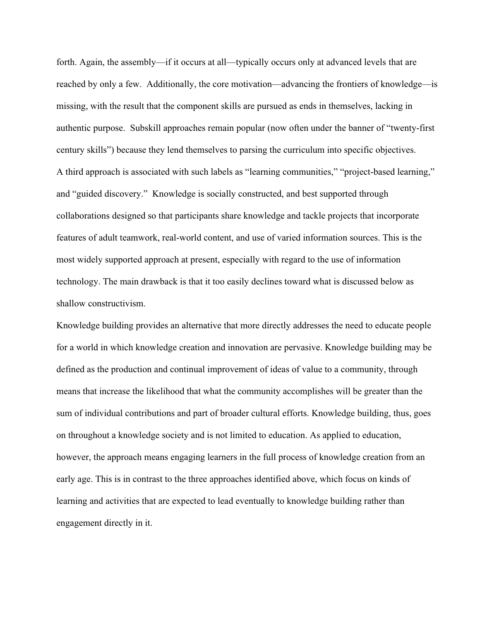forth. Again, the assembly—if it occurs at all—typically occurs only at advanced levels that are reached by only a few. Additionally, the core motivation—advancing the frontiers of knowledge—is missing, with the result that the component skills are pursued as ends in themselves, lacking in authentic purpose. Subskill approaches remain popular (now often under the banner of "twenty-first century skills") because they lend themselves to parsing the curriculum into specific objectives. A third approach is associated with such labels as "learning communities," "project-based learning," and "guided discovery." Knowledge is socially constructed, and best supported through collaborations designed so that participants share knowledge and tackle projects that incorporate features of adult teamwork, real-world content, and use of varied information sources. This is the most widely supported approach at present, especially with regard to the use of information technology. The main drawback is that it too easily declines toward what is discussed below as shallow constructivism.

Knowledge building provides an alternative that more directly addresses the need to educate people for a world in which knowledge creation and innovation are pervasive. Knowledge building may be defined as the production and continual improvement of ideas of value to a community, through means that increase the likelihood that what the community accomplishes will be greater than the sum of individual contributions and part of broader cultural efforts. Knowledge building, thus, goes on throughout a knowledge society and is not limited to education. As applied to education, however, the approach means engaging learners in the full process of knowledge creation from an early age. This is in contrast to the three approaches identified above, which focus on kinds of learning and activities that are expected to lead eventually to knowledge building rather than engagement directly in it.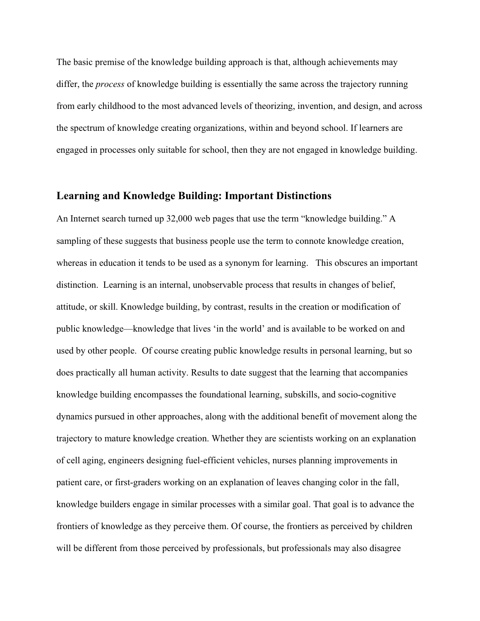The basic premise of the knowledge building approach is that, although achievements may differ, the *process* of knowledge building is essentially the same across the trajectory running from early childhood to the most advanced levels of theorizing, invention, and design, and across the spectrum of knowledge creating organizations, within and beyond school. If learners are engaged in processes only suitable for school, then they are not engaged in knowledge building.

## **Learning and Knowledge Building: Important Distinctions**

An Internet search turned up 32,000 web pages that use the term "knowledge building." A sampling of these suggests that business people use the term to connote knowledge creation, whereas in education it tends to be used as a synonym for learning. This obscures an important distinction. Learning is an internal, unobservable process that results in changes of belief, attitude, or skill. Knowledge building, by contrast, results in the creation or modification of public knowledge—knowledge that lives 'in the world' and is available to be worked on and used by other people. Of course creating public knowledge results in personal learning, but so does practically all human activity. Results to date suggest that the learning that accompanies knowledge building encompasses the foundational learning, subskills, and socio-cognitive dynamics pursued in other approaches, along with the additional benefit of movement along the trajectory to mature knowledge creation. Whether they are scientists working on an explanation of cell aging, engineers designing fuel-efficient vehicles, nurses planning improvements in patient care, or first-graders working on an explanation of leaves changing color in the fall, knowledge builders engage in similar processes with a similar goal. That goal is to advance the frontiers of knowledge as they perceive them. Of course, the frontiers as perceived by children will be different from those perceived by professionals, but professionals may also disagree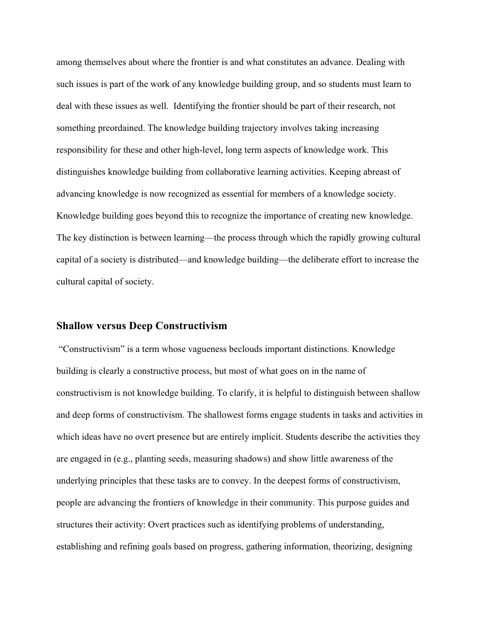among themselves about where the frontier is and what constitutes an advance. Dealing with such issues is part of the work of any knowledge building group, and so students must learn to deal with these issues as well. Identifying the frontier should be part of their research, not something preordained. The knowledge building trajectory involves taking increasing responsibility for these and other high-level, long term aspects of knowledge work. This distinguishes knowledge building from collaborative learning activities. Keeping abreast of advancing knowledge is now recognized as essential for members of a knowledge society. Knowledge building goes beyond this to recognize the importance of creating new knowledge. The key distinction is between learning—the process through which the rapidly growing cultural capital of a society is distributed—and knowledge building—the deliberate effort to increase the cultural capital of society.

### **Shallow versus Deep Constructivism**

 "Constructivism" is a term whose vagueness beclouds important distinctions. Knowledge building is clearly a constructive process, but most of what goes on in the name of constructivism is not knowledge building. To clarify, it is helpful to distinguish between shallow and deep forms of constructivism. The shallowest forms engage students in tasks and activities in which ideas have no overt presence but are entirely implicit. Students describe the activities they are engaged in (e.g., planting seeds, measuring shadows) and show little awareness of the underlying principles that these tasks are to convey. In the deepest forms of constructivism, people are advancing the frontiers of knowledge in their community. This purpose guides and structures their activity: Overt practices such as identifying problems of understanding, establishing and refining goals based on progress, gathering information, theorizing, designing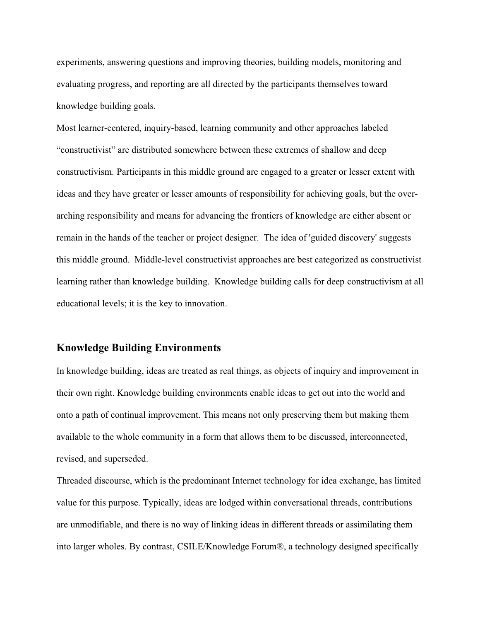experiments, answering questions and improving theories, building models, monitoring and evaluating progress, and reporting are all directed by the participants themselves toward knowledge building goals.

Most learner-centered, inquiry-based, learning community and other approaches labeled "constructivist" are distributed somewhere between these extremes of shallow and deep constructivism. Participants in this middle ground are engaged to a greater or lesser extent with ideas and they have greater or lesser amounts of responsibility for achieving goals, but the overarching responsibility and means for advancing the frontiers of knowledge are either absent or remain in the hands of the teacher or project designer. The idea of 'guided discovery' suggests this middle ground. Middle-level constructivist approaches are best categorized as constructivist learning rather than knowledge building. Knowledge building calls for deep constructivism at all educational levels; it is the key to innovation.

#### **Knowledge Building Environments**

In knowledge building, ideas are treated as real things, as objects of inquiry and improvement in their own right. Knowledge building environments enable ideas to get out into the world and onto a path of continual improvement. This means not only preserving them but making them available to the whole community in a form that allows them to be discussed, interconnected, revised, and superseded.

Threaded discourse, which is the predominant Internet technology for idea exchange, has limited value for this purpose. Typically, ideas are lodged within conversational threads, contributions are unmodifiable, and there is no way of linking ideas in different threads or assimilating them into larger wholes. By contrast, CSILE/Knowledge Forum®, a technology designed specifically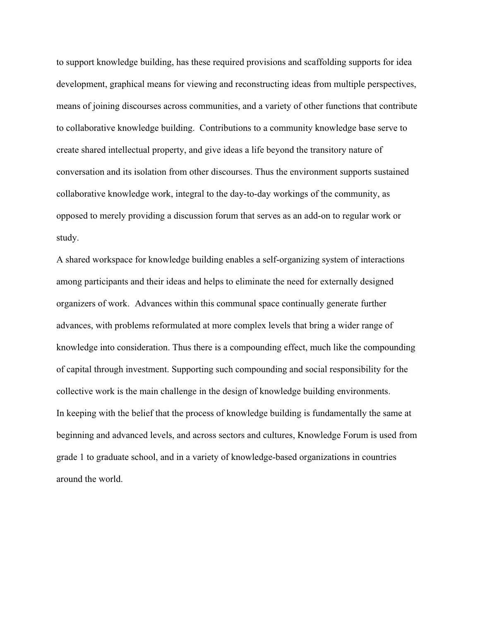to support knowledge building, has these required provisions and scaffolding supports for idea development, graphical means for viewing and reconstructing ideas from multiple perspectives, means of joining discourses across communities, and a variety of other functions that contribute to collaborative knowledge building. Contributions to a community knowledge base serve to create shared intellectual property, and give ideas a life beyond the transitory nature of conversation and its isolation from other discourses. Thus the environment supports sustained collaborative knowledge work, integral to the day-to-day workings of the community, as opposed to merely providing a discussion forum that serves as an add-on to regular work or study.

A shared workspace for knowledge building enables a self-organizing system of interactions among participants and their ideas and helps to eliminate the need for externally designed organizers of work. Advances within this communal space continually generate further advances, with problems reformulated at more complex levels that bring a wider range of knowledge into consideration. Thus there is a compounding effect, much like the compounding of capital through investment. Supporting such compounding and social responsibility for the collective work is the main challenge in the design of knowledge building environments. In keeping with the belief that the process of knowledge building is fundamentally the same at beginning and advanced levels, and across sectors and cultures, Knowledge Forum is used from grade 1 to graduate school, and in a variety of knowledge-based organizations in countries around the world.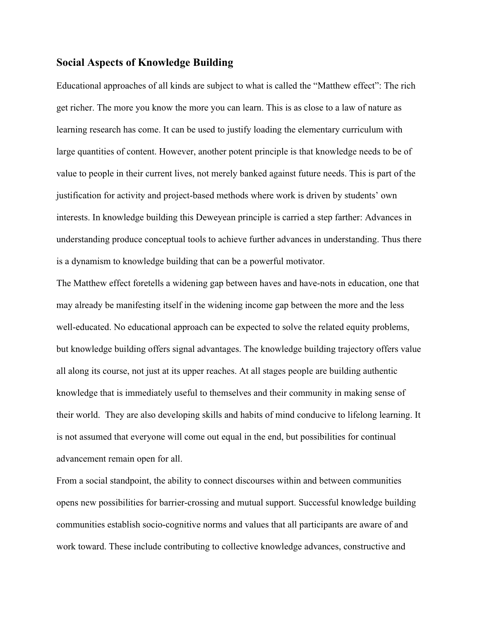## **Social Aspects of Knowledge Building**

Educational approaches of all kinds are subject to what is called the "Matthew effect": The rich get richer. The more you know the more you can learn. This is as close to a law of nature as learning research has come. It can be used to justify loading the elementary curriculum with large quantities of content. However, another potent principle is that knowledge needs to be of value to people in their current lives, not merely banked against future needs. This is part of the justification for activity and project-based methods where work is driven by students' own interests. In knowledge building this Deweyean principle is carried a step farther: Advances in understanding produce conceptual tools to achieve further advances in understanding. Thus there is a dynamism to knowledge building that can be a powerful motivator.

The Matthew effect foretells a widening gap between haves and have-nots in education, one that may already be manifesting itself in the widening income gap between the more and the less well-educated. No educational approach can be expected to solve the related equity problems, but knowledge building offers signal advantages. The knowledge building trajectory offers value all along its course, not just at its upper reaches. At all stages people are building authentic knowledge that is immediately useful to themselves and their community in making sense of their world. They are also developing skills and habits of mind conducive to lifelong learning. It is not assumed that everyone will come out equal in the end, but possibilities for continual advancement remain open for all.

From a social standpoint, the ability to connect discourses within and between communities opens new possibilities for barrier-crossing and mutual support. Successful knowledge building communities establish socio-cognitive norms and values that all participants are aware of and work toward. These include contributing to collective knowledge advances, constructive and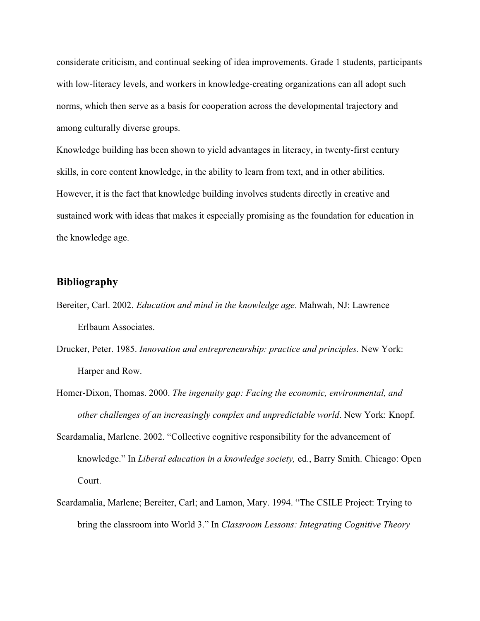considerate criticism, and continual seeking of idea improvements. Grade 1 students, participants with low-literacy levels, and workers in knowledge-creating organizations can all adopt such norms, which then serve as a basis for cooperation across the developmental trajectory and among culturally diverse groups.

Knowledge building has been shown to yield advantages in literacy, in twenty-first century skills, in core content knowledge, in the ability to learn from text, and in other abilities. However, it is the fact that knowledge building involves students directly in creative and sustained work with ideas that makes it especially promising as the foundation for education in the knowledge age.

## **Bibliography**

- Bereiter, Carl. 2002. *Education and mind in the knowledge age*. Mahwah, NJ: Lawrence Erlbaum Associates.
- Drucker, Peter. 1985. *Innovation and entrepreneurship: practice and principles.* New York: Harper and Row.
- Homer-Dixon, Thomas. 2000. *The ingenuity gap: Facing the economic, environmental, and other challenges of an increasingly complex and unpredictable world*. New York: Knopf.
- Scardamalia, Marlene. 2002. "Collective cognitive responsibility for the advancement of knowledge." In *Liberal education in a knowledge society,* ed., Barry Smith. Chicago: Open Court.
- Scardamalia, Marlene; Bereiter, Carl; and Lamon, Mary. 1994. "The CSILE Project: Trying to bring the classroom into World 3." In *Classroom Lessons: Integrating Cognitive Theory*